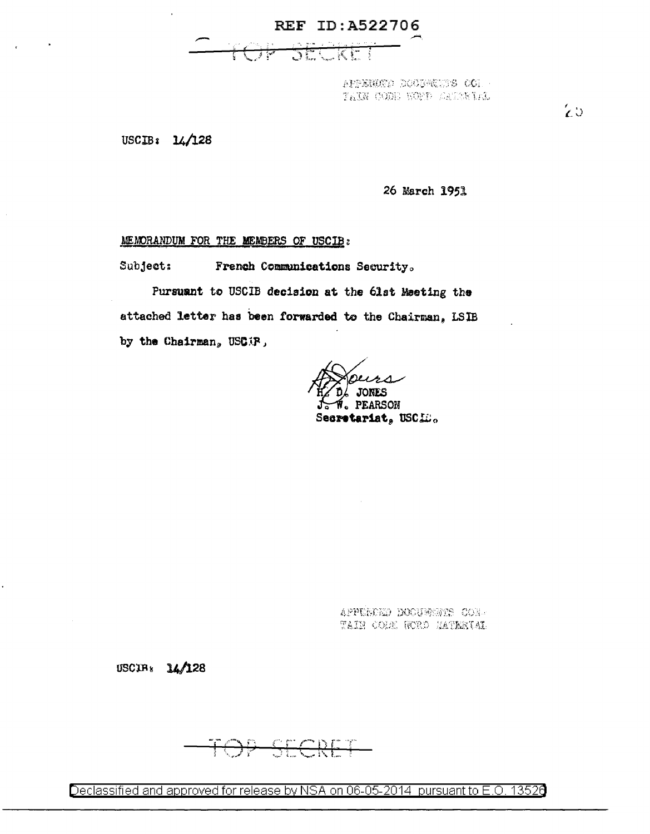REF ID:A522706



 $-100$   $27.945000$   $(99.14540)$  $T_4$  . The state  $T_4$  ,  $T_5$  and  $T_6$   $T_6$   $T_7$ 

USCIBa 14/128

*26* March 195.l

## **MEMORANDUM FOR THE MEMBERS OF USCIB:**

Subject: French Communications Security.

Pursuant to USClB decision at the 6lst Meeting the attached letter has been forwarded to the Chairman, LSlB by the Chairman. USCIP,

JONES **PEARSON** Secretariat, USCID.

APPENDED DOOUWONTS CON-TAIN CODE RORD MATRETAI

USCIA $_{8}$  14/128

<u> SECRE</u>

Declassified and approved for release by NSA on 06-05-2014 pursuant to E.O. 13526

 $\mathcal{L} \cup$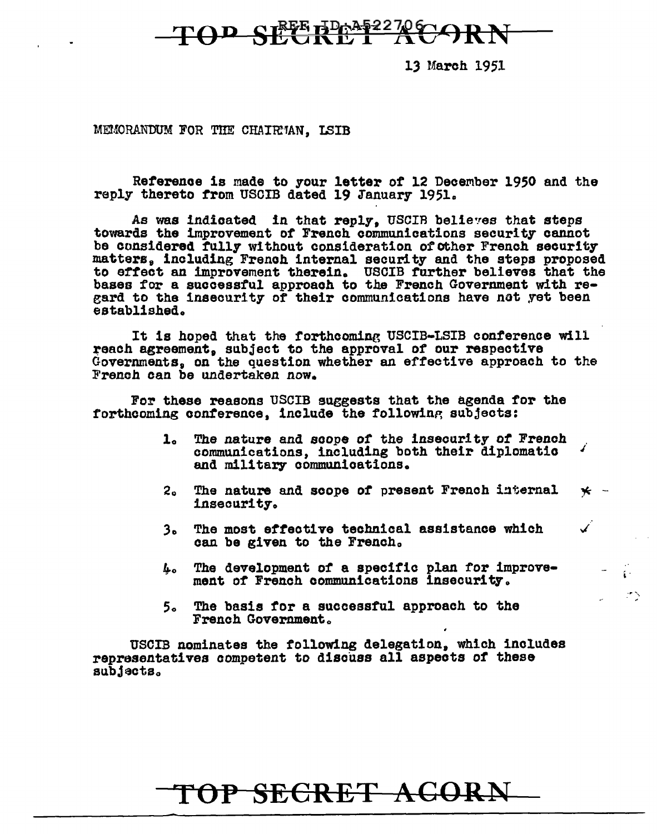

13 March 1951

MEMORANDUM FOR THE CHAIR'MA, LSIB

Reference is made to your letter of 12 December 1950 and the reply thereto from USCIB dated 19 January 1951.

As was indicated in that reply, USCIR believes that steps towards the improvement of French communications security cannot be considered fully without consideration of other French security matters, including French internal security and the steps proposed to effect an improvement therein. USCIB further believes that the bases for a successful approach to the French Government with regard to the insecurity of their communications have not yet been established.

It is hoped that the forthcoming USCIB-LSIB conference will reach agreement, subject to the approval of our respective Governments, on the question whether an effective approach to the F'rencb can be undertaken now.

For these reasons USCIB suggests that the agenda for the forthcoming conference. include the following subjects:

- lo The nature and scope or *the* insecurity *ot* French communications, including both their diplomatic and military communications.
- 2. The nature and scope of present French internal insecurity-.  $\star$  -

 $\mathcal{L}_{\mathcal{L}}$ 

Í

- 3o The most effective technical assistance which can be given to the French.
- $L_0$  The development of a specific plan for improvement of French communications insecurity.
- 5o The basis tor a successful approach to the French Government.

USCIB nominates the following delegation, which includes representatives competent to discuss all aspects of these  $s$ ubjacts.

## TOP SECRET ACORN